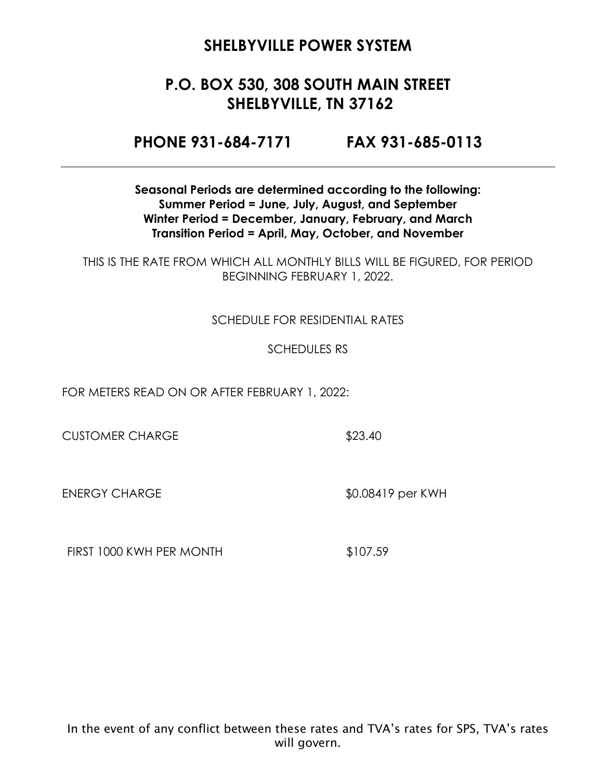## **P.O. BOX 530, 308 SOUTH MAIN STREET SHELBYVILLE, TN 37162**

**PHONE 931-684-7171 FAX 931-685-0113**

**Seasonal Periods are determined according to the following: Summer Period = June, July, August, and September Winter Period = December, January, February, and March Transition Period = April, May, October, and November**

THIS IS THE RATE FROM WHICH ALL MONTHLY BILLS WILL BE FIGURED, FOR PERIOD BEGINNING FEBRUARY 1, 2022.

#### SCHEDULE FOR RESIDENTIAL RATES

#### SCHEDULES RS

FOR METERS READ ON OR AFTER FEBRUARY 1, 2022:

CUSTOMER CHARGE \$23.40

ENERGY CHARGE \$0.08419 per KWH

FIRST 1000 KWH PER MONTH \$107.59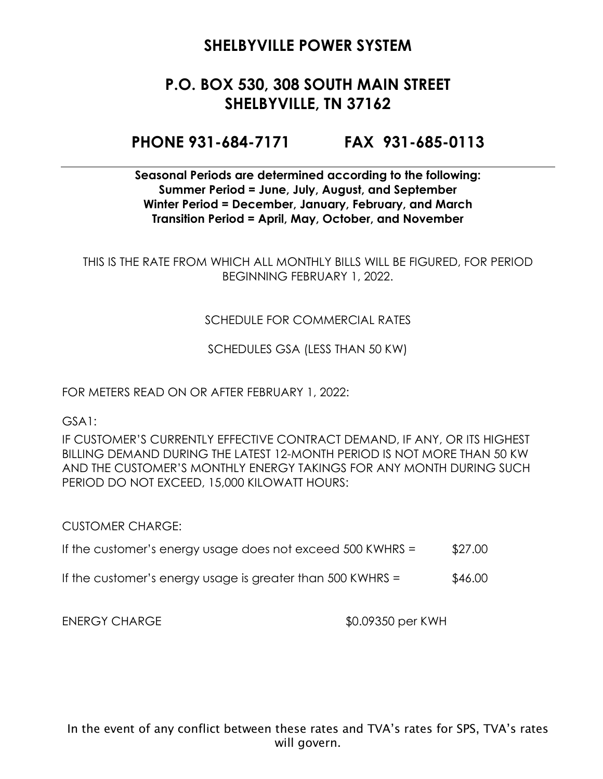## **P.O. BOX 530, 308 SOUTH MAIN STREET SHELBYVILLE, TN 37162**

### **PHONE 931-684-7171 FAX 931-685-0113**

#### **Seasonal Periods are determined according to the following: Summer Period = June, July, August, and September Winter Period = December, January, February, and March Transition Period = April, May, October, and November**

THIS IS THE RATE FROM WHICH ALL MONTHLY BILLS WILL BE FIGURED, FOR PERIOD BEGINNING FEBRUARY 1, 2022.

#### SCHEDULE FOR COMMERCIAL RATES

SCHEDULES GSA (LESS THAN 50 KW)

FOR METERS READ ON OR AFTER FEBRUARY 1, 2022:

GSA1:

IF CUSTOMER'S CURRENTLY EFFECTIVE CONTRACT DEMAND, IF ANY, OR ITS HIGHEST BILLING DEMAND DURING THE LATEST 12-MONTH PERIOD IS NOT MORE THAN 50 KW AND THE CUSTOMER'S MONTHLY ENERGY TAKINGS FOR ANY MONTH DURING SUCH PERIOD DO NOT EXCEED, 15,000 KILOWATT HOURS:

CUSTOMER CHARGE:

- If the customer's energy usage does not exceed  $500$  KWHRS =  $$27.00$
- If the customer's energy usage is greater than  $500$  KWHRS =  $$46.00$

ENERGY CHARGE  $$0.09350$  per KWH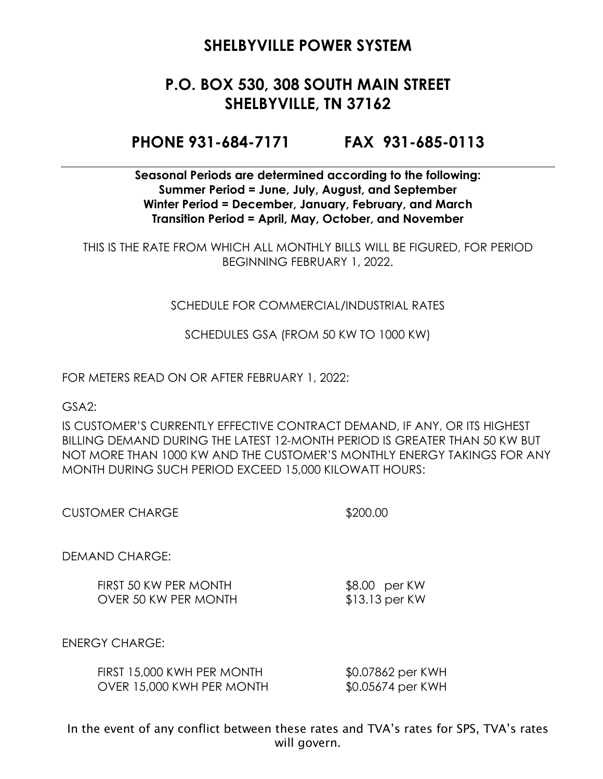## **P.O. BOX 530, 308 SOUTH MAIN STREET SHELBYVILLE, TN 37162**

### **PHONE 931-684-7171 FAX 931-685-0113**

**Seasonal Periods are determined according to the following: Summer Period = June, July, August, and September Winter Period = December, January, February, and March Transition Period = April, May, October, and November**

THIS IS THE RATE FROM WHICH ALL MONTHLY BILLS WILL BE FIGURED, FOR PERIOD BEGINNING FEBRUARY 1, 2022.

#### SCHEDULE FOR COMMERCIAL/INDUSTRIAL RATES

SCHEDULES GSA (FROM 50 KW TO 1000 KW)

FOR METERS READ ON OR AFTER FEBRUARY 1, 2022:

GSA2:

IS CUSTOMER'S CURRENTLY EFFECTIVE CONTRACT DEMAND, IF ANY, OR ITS HIGHEST BILLING DEMAND DURING THE LATEST 12-MONTH PERIOD IS GREATER THAN 50 KW BUT NOT MORE THAN 1000 KW AND THE CUSTOMER'S MONTHLY ENERGY TAKINGS FOR ANY MONTH DURING SUCH PERIOD EXCEED 15,000 KILOWATT HOURS:

CUSTOMER CHARGE \$200.00

DEMAND CHARGE:

FIRST 50 KW PER MONTH \$8.00 per KW OVER 50 KW PER MONTH \$13.13 per KW

ENERGY CHARGE:

| FIRST 15,000 KWH PER MONTH | \$0.07862 per KWH |
|----------------------------|-------------------|
| OVER 15,000 KWH PER MONTH  | \$0.05674 per KWH |

In the event of any conflict between these rates and TVA's rates for SPS, TVA's rates will govern.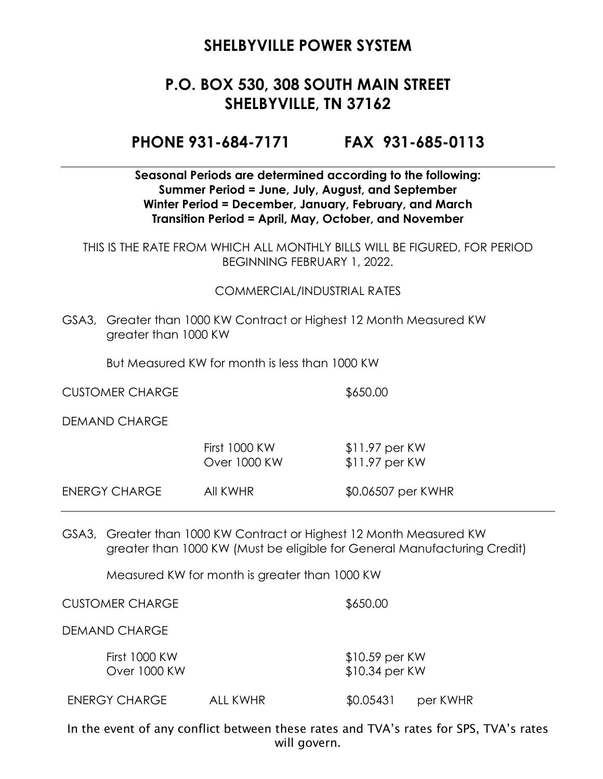## **P.O. BOX 530, 308 SOUTH MAIN STREET SHELBYVILLE, TN 37162**

#### **PHONE 931-684-7171 FAX 931-685-0113**

#### **Seasonal Periods are determined according to the following: Summer Period = June, July, August, and September Winter Period = December, January, February, and March Transition Period = April, May, October, and November**

THIS IS THE RATE FROM WHICH ALL MONTHLY BILLS WILL BE FIGURED, FOR PERIOD BEGINNING FEBRUARY 1, 2022.

#### COMMERCIAL/INDUSTRIAL RATES

GSA3, Greater than 1000 KW Contract or Highest 12 Month Measured KW greater than 1000 KW

But Measured KW for month is less than 1000 KW

CUSTOMER CHARGE \$650.00

DEMAND CHARGE

|               | First 1000 KW<br>Over 1000 KW | $$11.97$ per KW<br>$$11.97$ per KW |
|---------------|-------------------------------|------------------------------------|
| ENERGY CHARGE | AII KWHR                      | \$0.06507 per KWHR                 |

GSA3, Greater than 1000 KW Contract or Highest 12 Month Measured KW greater than 1000 KW (Must be eligible for General Manufacturing Credit)

Measured KW for month is greater than 1000 KW

CUSTOMER CHARGE \$650.00

DEMAND CHARGE

First 1000 KW \$10.59 per KW Over 1000 KW \$10.34 per KW

ENERGY CHARGE ALL KWHR \$0.05431 per KWHR

In the event of any conflict between these rates and TVA's rates for SPS, TVA's rates will govern.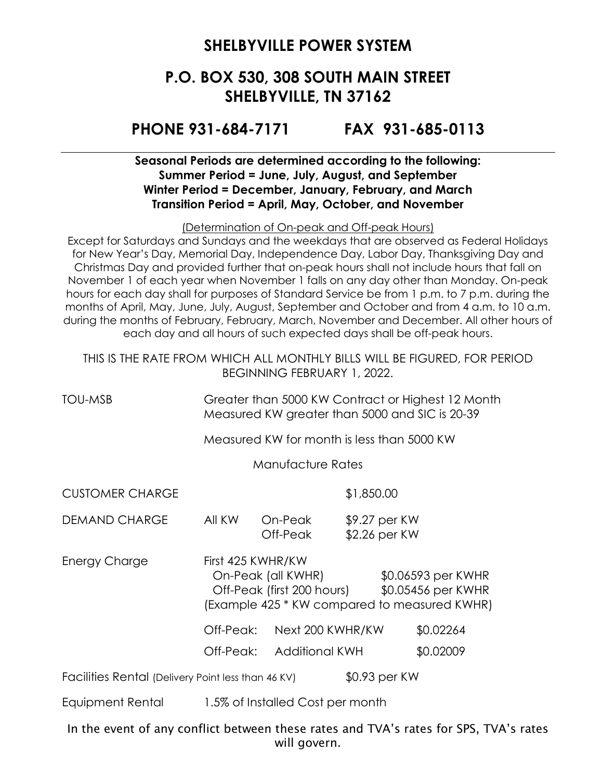## **P.O. BOX 530, 308 SOUTH MAIN STREET SHELBYVILLE, TN 37162**

### **PHONE 931-684-7171 FAX 931-685-0113**

#### **Seasonal Periods are determined according to the following: Summer Period = June, July, August, and September Winter Period = December, January, February, and March Transition Period = April, May, October, and November**

(Determination of On-peak and Off-peak Hours)

Except for Saturdays and Sundays and the weekdays that are observed as Federal Holidays for New Year's Day, Memorial Day, Independence Day, Labor Day, Thanksgiving Day and Christmas Day and provided further that on-peak hours shall not include hours that fall on November 1 of each year when November 1 falls on any day other than Monday. On-peak hours for each day shall for purposes of Standard Service be from 1 p.m. to 7 p.m. during the months of April, May, June, July, August, September and October and from 4 a.m. to 10 a.m. during the months of February, February, March, November and December. All other hours of each day and all hours of such expected days shall be off-peak hours.

THIS IS THE RATE FROM WHICH ALL MONTHLY BILLS WILL BE FIGURED, FOR PERIOD BEGINNING FEBRUARY 1, 2022.

TOU-MSB Greater than 5000 KW Contract or Highest 12 Month Measured KW greater than 5000 and SIC is 20-39

Measured KW for month is less than 5000 KW

Manufacture Rates

CUSTOMER CHARGE \$1,850.00

DEMAND CHARGE All KW On-Peak \$9.27 per KW Off-Peak \$2.26 per KW

Energy Charge First 425 KWHR/KW On-Peak (all KWHR) \$0.06593 per KWHR Off-Peak (first 200 hours) \$0.05456 per KWHR (Example 425 \* KW compared to measured KWHR)

Off-Peak: Next 200 KWHR/KW \$0.02264

Off-Peak: Additional KWH \$0.02009

Facilities Rental (Delivery Point less than 46 KV) \$0.93 per KW

Equipment Rental 1.5% of Installed Cost per month

In the event of any conflict between these rates and TVA's rates for SPS, TVA's rates will govern.